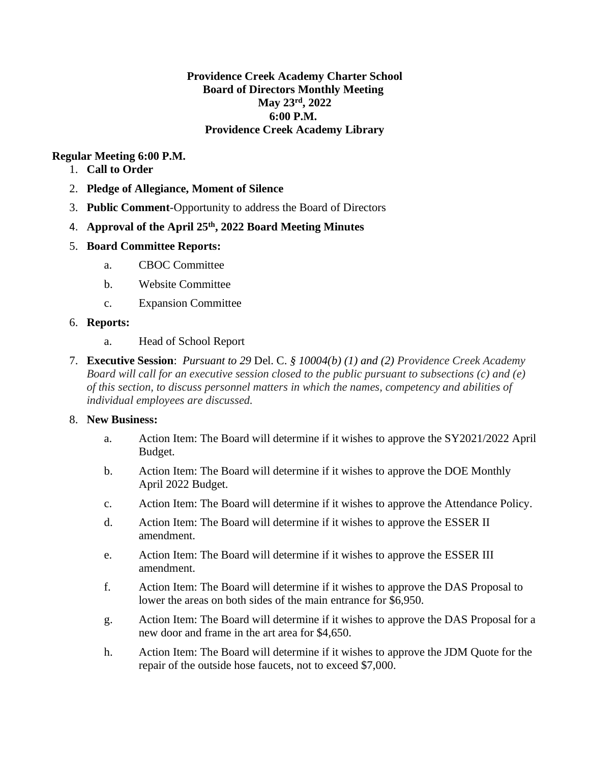### **Providence Creek Academy Charter School Board of Directors Monthly Meeting May 23rd, 2022 6:00 P.M. Providence Creek Academy Library**

### **Regular Meeting 6:00 P.M.**

- 1. **Call to Order**
- 2. **Pledge of Allegiance, Moment of Silence**
- 3. **Public Comment**-Opportunity to address the Board of Directors
- 4. **Approval of the April 25th, 2022 Board Meeting Minutes**
- 5. **Board Committee Reports:**
	- a. CBOC Committee
	- b. Website Committee
	- c. Expansion Committee
- 6. **Reports:**
	- a. Head of School Report
- 7. **Executive Session**: *Pursuant to 29* Del. C. *§ 10004(b) (1) and (2) Providence Creek Academy Board will call for an executive session closed to the public pursuant to subsections (c) and (e) of this section, to discuss personnel matters in which the names, competency and abilities of individual employees are discussed.*

# 8. **New Business:**

- a. Action Item: The Board will determine if it wishes to approve the SY2021/2022 April Budget.
- b. Action Item: The Board will determine if it wishes to approve the DOE Monthly April 2022 Budget.
- c. Action Item: The Board will determine if it wishes to approve the Attendance Policy.
- d. Action Item: The Board will determine if it wishes to approve the ESSER II amendment.
- e. Action Item: The Board will determine if it wishes to approve the ESSER III amendment.
- f. Action Item: The Board will determine if it wishes to approve the DAS Proposal to lower the areas on both sides of the main entrance for \$6,950.
- g. Action Item: The Board will determine if it wishes to approve the DAS Proposal for a new door and frame in the art area for \$4,650.
- h. Action Item: The Board will determine if it wishes to approve the JDM Quote for the repair of the outside hose faucets, not to exceed \$7,000.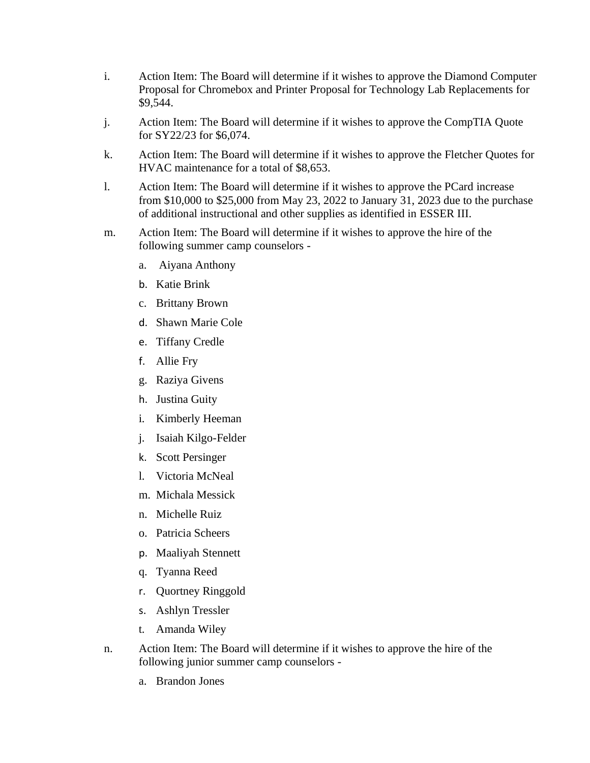- i. Action Item: The Board will determine if it wishes to approve the Diamond Computer Proposal for Chromebox and Printer Proposal for Technology Lab Replacements for \$9,544.
- j. Action Item: The Board will determine if it wishes to approve the CompTIA Quote for SY22/23 for \$6,074.
- k. Action Item: The Board will determine if it wishes to approve the Fletcher Quotes for HVAC maintenance for a total of \$8,653.
- l. Action Item: The Board will determine if it wishes to approve the PCard increase from \$10,000 to \$25,000 from May 23, 2022 to January 31, 2023 due to the purchase of additional instructional and other supplies as identified in ESSER III.
- m. Action Item: The Board will determine if it wishes to approve the hire of the following summer camp counselors
	- a. Aiyana Anthony
	- b. Katie Brink
	- c. Brittany Brown
	- d. Shawn Marie Cole
	- e. Tiffany Credle
	- f. Allie Fry
	- g. Raziya Givens
	- h. Justina Guity
	- i. Kimberly Heeman
	- j. Isaiah Kilgo-Felder
	- k. Scott Persinger
	- l. Victoria McNeal
	- m. Michala Messick
	- n. Michelle Ruiz
	- o. Patricia Scheers
	- p. Maaliyah Stennett
	- q. Tyanna Reed
	- r. Quortney Ringgold
	- s. Ashlyn Tressler
	- t. Amanda Wiley
- n. Action Item: The Board will determine if it wishes to approve the hire of the following junior summer camp counselors
	- a. Brandon Jones